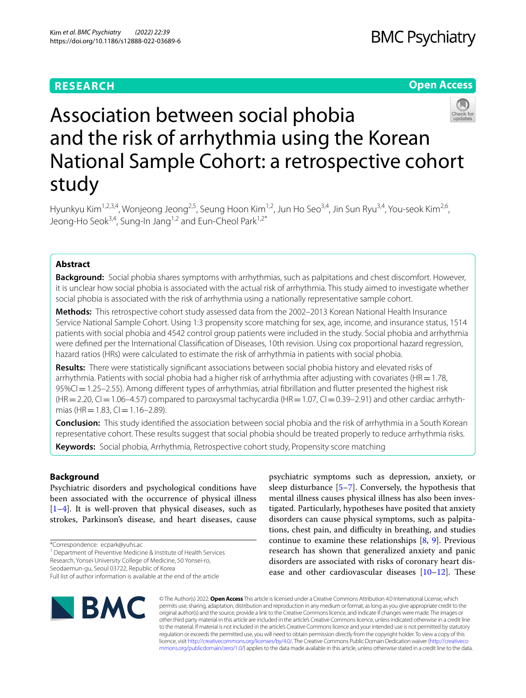## **RESEARCH**

## **Open Access**



# Association between social phobia and the risk of arrhythmia using the Korean National Sample Cohort: a retrospective cohort study

Hyunkyu Kim<sup>1,2,3,4</sup>, Wonjeong Jeong<sup>2,5</sup>, Seung Hoon Kim<sup>1,2</sup>, Jun Ho Seo<sup>3,4</sup>, Jin Sun Ryu<sup>3,4</sup>, You-seok Kim<sup>2,6</sup>, Jeong-Ho Seok<sup>3,4</sup>, Sung-In Jang<sup>1,2</sup> and Eun-Cheol Park<sup>1,2\*</sup>

## **Abstract**

**Background:** Social phobia shares symptoms with arrhythmias, such as palpitations and chest discomfort. However, it is unclear how social phobia is associated with the actual risk of arrhythmia. This study aimed to investigate whether social phobia is associated with the risk of arrhythmia using a nationally representative sample cohort.

**Methods:** This retrospective cohort study assessed data from the 2002–2013 Korean National Health Insurance Service National Sample Cohort. Using 1:3 propensity score matching for sex, age, income, and insurance status, 1514 patients with social phobia and 4542 control group patients were included in the study. Social phobia and arrhythmia were defned per the International Classifcation of Diseases, 10th revision. Using cox proportional hazard regression, hazard ratios (HRs) were calculated to estimate the risk of arrhythmia in patients with social phobia.

**Results:** There were statistically signifcant associations between social phobia history and elevated risks of arrhythmia. Patients with social phobia had a higher risk of arrhythmia after adjusting with covariates (HR $=1.78$ , 95%CI=1.25–2.55). Among diferent types of arrhythmias, atrial fbrillation and futter presented the highest risk  $(HR=2.20, Cl=1.06-4.57)$  compared to paroxysmal tachycardia  $(HR=1.07, Cl=0.39-2.91)$  and other cardiac arrhythmias (HR = 1.83, CI = 1.16–2.89).

**Conclusion:** This study identifed the association between social phobia and the risk of arrhythmia in a South Korean representative cohort. These results suggest that social phobia should be treated properly to reduce arrhythmia risks. **Keywords:** Social phobia, Arrhythmia, Retrospective cohort study, Propensity score matching

## **Background**

Psychiatric disorders and psychological conditions have been associated with the occurrence of physical illness  $[1-4]$  $[1-4]$ . It is well-proven that physical diseases, such as strokes, Parkinson's disease, and heart diseases, cause

<sup>1</sup> Department of Preventive Medicine & Institute of Health Services

Research, Yonsei University College of Medicine, 50 Yonsei-ro,

psychiatric symptoms such as depression, anxiety, or sleep disturbance  $[5-7]$  $[5-7]$ . Conversely, the hypothesis that mental illness causes physical illness has also been investigated. Particularly, hypotheses have posited that anxiety disorders can cause physical symptoms, such as palpitations, chest pain, and difficulty in breathing, and studies continue to examine these relationships [\[8](#page-6-4), [9](#page-6-5)]. Previous research has shown that generalized anxiety and panic disorders are associated with risks of coronary heart disease and other cardiovascular diseases  $[10-12]$  $[10-12]$ . These



© The Author(s) 2022. **Open Access** This article is licensed under a Creative Commons Attribution 4.0 International License, which permits use, sharing, adaptation, distribution and reproduction in any medium or format, as long as you give appropriate credit to the original author(s) and the source, provide a link to the Creative Commons licence, and indicate if changes were made. The images or other third party material in this article are included in the article's Creative Commons licence, unless indicated otherwise in a credit line to the material. If material is not included in the article's Creative Commons licence and your intended use is not permitted by statutory regulation or exceeds the permitted use, you will need to obtain permission directly from the copyright holder. To view a copy of this licence, visit [http://creativecommons.org/licenses/by/4.0/.](http://creativecommons.org/licenses/by/4.0/) The Creative Commons Public Domain Dedication waiver ([http://creativeco](http://creativecommons.org/publicdomain/zero/1.0/) [mmons.org/publicdomain/zero/1.0/](http://creativecommons.org/publicdomain/zero/1.0/)) applies to the data made available in this article, unless otherwise stated in a credit line to the data.

<sup>\*</sup>Correspondence: ecpark@yuhs.ac

Seodaemun‑gu, Seoul 03722, Republic of Korea Full list of author information is available at the end of the article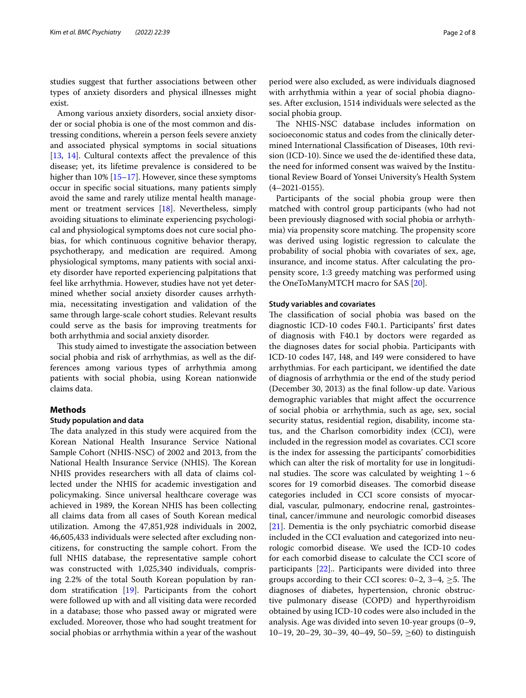studies suggest that further associations between other types of anxiety disorders and physical illnesses might exist.

Among various anxiety disorders, social anxiety disorder or social phobia is one of the most common and distressing conditions, wherein a person feels severe anxiety and associated physical symptoms in social situations [[13,](#page-6-8) [14\]](#page-6-9). Cultural contexts affect the prevalence of this disease; yet, its lifetime prevalence is considered to be higher than 10% [[15–](#page-6-10)[17\]](#page-6-11). However, since these symptoms occur in specifc social situations, many patients simply avoid the same and rarely utilize mental health management or treatment services [\[18\]](#page-6-12). Nevertheless, simply avoiding situations to eliminate experiencing psychological and physiological symptoms does not cure social phobias, for which continuous cognitive behavior therapy, psychotherapy, and medication are required. Among physiological symptoms, many patients with social anxiety disorder have reported experiencing palpitations that feel like arrhythmia. However, studies have not yet determined whether social anxiety disorder causes arrhythmia, necessitating investigation and validation of the same through large-scale cohort studies. Relevant results could serve as the basis for improving treatments for both arrhythmia and social anxiety disorder.

This study aimed to investigate the association between social phobia and risk of arrhythmias, as well as the differences among various types of arrhythmia among patients with social phobia, using Korean nationwide claims data.

## **Methods**

#### **Study population and data**

The data analyzed in this study were acquired from the Korean National Health Insurance Service National Sample Cohort (NHIS-NSC) of 2002 and 2013, from the National Health Insurance Service (NHIS). The Korean NHIS provides researchers with all data of claims collected under the NHIS for academic investigation and policymaking. Since universal healthcare coverage was achieved in 1989, the Korean NHIS has been collecting all claims data from all cases of South Korean medical utilization. Among the 47,851,928 individuals in 2002, 46,605,433 individuals were selected after excluding noncitizens, for constructing the sample cohort. From the full NHIS database, the representative sample cohort was constructed with 1,025,340 individuals, comprising 2.2% of the total South Korean population by random stratifcation [\[19](#page-6-13)]. Participants from the cohort were followed up with and all visiting data were recorded in a database; those who passed away or migrated were excluded. Moreover, those who had sought treatment for social phobias or arrhythmia within a year of the washout period were also excluded, as were individuals diagnosed with arrhythmia within a year of social phobia diagnoses. After exclusion, 1514 individuals were selected as the social phobia group.

The NHIS-NSC database includes information on socioeconomic status and codes from the clinically determined International Classifcation of Diseases, 10th revision (ICD-10). Since we used the de-identifed these data, the need for informed consent was waived by the Institutional Review Board of Yonsei University's Health System (4–2021-0155).

Participants of the social phobia group were then matched with control group participants (who had not been previously diagnosed with social phobia or arrhythmia) via propensity score matching. The propensity score was derived using logistic regression to calculate the probability of social phobia with covariates of sex, age, insurance, and income status. After calculating the propensity score, 1:3 greedy matching was performed using the OneToManyMTCH macro for SAS [[20](#page-6-14)].

#### **Study variables and covariates**

The classification of social phobia was based on the diagnostic ICD-10 codes F40.1. Participants' frst dates of diagnosis with F40.1 by doctors were regarded as the diagnoses dates for social phobia. Participants with ICD-10 codes I47, I48, and I49 were considered to have arrhythmias. For each participant, we identifed the date of diagnosis of arrhythmia or the end of the study period (December 30, 2013) as the fnal follow-up date. Various demographic variables that might afect the occurrence of social phobia or arrhythmia, such as age, sex, social security status, residential region, disability, income status, and the Charlson comorbidity index (CCI), were included in the regression model as covariates. CCI score is the index for assessing the participants' comorbidities which can alter the risk of mortality for use in longitudinal studies. The score was calculated by weighting  $1~\sim 6$ scores for 19 comorbid diseases. The comorbid disease categories included in CCI score consists of myocardial, vascular, pulmonary, endocrine renal, gastrointestinal, cancer/immune and neurologic comorbid diseases [[21\]](#page-7-0). Dementia is the only psychiatric comorbid disease included in the CCI evaluation and categorized into neurologic comorbid disease. We used the ICD-10 codes for each comorbid disease to calculate the CCI score of participants [\[22](#page-7-1)].. Participants were divided into three groups according to their CCI scores:  $0-2$ ,  $3-4$ ,  $\geq 5$ . The diagnoses of diabetes, hypertension, chronic obstructive pulmonary disease (COPD) and hyperthyroidism obtained by using ICD-10 codes were also included in the analysis. Age was divided into seven 10-year groups (0–9, 10–19, 20–29, 30–39, 40–49, 50–59,  $\geq 60$ ) to distinguish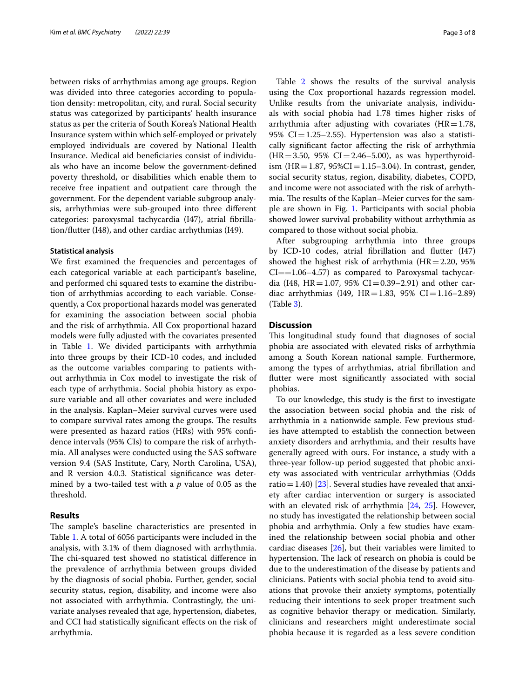between risks of arrhythmias among age groups. Region was divided into three categories according to population density: metropolitan, city, and rural. Social security status was categorized by participants' health insurance status as per the criteria of South Korea's National Health Insurance system within which self-employed or privately employed individuals are covered by National Health Insurance. Medical aid benefciaries consist of individuals who have an income below the government-defned poverty threshold, or disabilities which enable them to receive free inpatient and outpatient care through the government. For the dependent variable subgroup analysis, arrhythmias were sub-grouped into three diferent categories: paroxysmal tachycardia (I47), atrial fbrillation/futter (I48), and other cardiac arrhythmias (I49).

#### **Statistical analysis**

We frst examined the frequencies and percentages of each categorical variable at each participant's baseline, and performed chi squared tests to examine the distribution of arrhythmias according to each variable. Consequently, a Cox proportional hazards model was generated for examining the association between social phobia and the risk of arrhythmia. All Cox proportional hazard models were fully adjusted with the covariates presented in Table [1](#page-3-0). We divided participants with arrhythmia into three groups by their ICD-10 codes, and included as the outcome variables comparing to patients without arrhythmia in Cox model to investigate the risk of each type of arrhythmia. Social phobia history as exposure variable and all other covariates and were included in the analysis. Kaplan–Meier survival curves were used to compare survival rates among the groups. The results were presented as hazard ratios (HRs) with 95% confdence intervals (95% CIs) to compare the risk of arrhythmia. All analyses were conducted using the SAS software version 9.4 (SAS Institute, Cary, North Carolina, USA), and R version 4.0.3. Statistical signifcance was determined by a two-tailed test with a *p* value of 0.05 as the threshold.

#### **Results**

The sample's baseline characteristics are presented in Table [1](#page-3-0). A total of 6056 participants were included in the analysis, with 3.1% of them diagnosed with arrhythmia. The chi-squared test showed no statistical difference in the prevalence of arrhythmia between groups divided by the diagnosis of social phobia. Further, gender, social security status, region, disability, and income were also not associated with arrhythmia. Contrastingly, the univariate analyses revealed that age, hypertension, diabetes, and CCI had statistically signifcant efects on the risk of arrhythmia.

Table [2](#page-4-0) shows the results of the survival analysis using the Cox proportional hazards regression model. Unlike results from the univariate analysis, individuals with social phobia had 1.78 times higher risks of arrhythmia after adjusting with covariates ( $HR = 1.78$ , 95%  $CI = 1.25 - 2.55$ ). Hypertension was also a statistically signifcant factor afecting the risk of arrhythmia  $(HR = 3.50, 95\% \text{ CI} = 2.46 - 5.00)$ , as was hyperthyroidism (HR = 1.87,  $95\%CI = 1.15-3.04$ ). In contrast, gender, social security status, region, disability, diabetes, COPD, and income were not associated with the risk of arrhythmia. The results of the Kaplan–Meier curves for the sample are shown in Fig. [1.](#page-5-0) Participants with social phobia showed lower survival probability without arrhythmia as compared to those without social phobia.

After subgrouping arrhythmia into three groups by ICD-10 codes, atrial fbrillation and futter (I47) showed the highest risk of arrhythmia  $(HR=2.20, 95\%)$  $CI = = 1.06 - 4.57$ ) as compared to Paroxysmal tachycardia (I48, HR = 1.07, 95% CI = 0.39–2.91) and other cardiac arrhythmias (I49, HR=1.83, 95% CI=1.16-2.89) (Table [3\)](#page-5-1).

#### **Discussion**

This longitudinal study found that diagnoses of social phobia are associated with elevated risks of arrhythmia among a South Korean national sample. Furthermore, among the types of arrhythmias, atrial fbrillation and futter were most signifcantly associated with social phobias.

To our knowledge, this study is the frst to investigate the association between social phobia and the risk of arrhythmia in a nationwide sample. Few previous studies have attempted to establish the connection between anxiety disorders and arrhythmia, and their results have generally agreed with ours. For instance, a study with a three-year follow-up period suggested that phobic anxiety was associated with ventricular arrhythmias (Odds ratio = 1.40) [ $23$ ]. Several studies have revealed that anxiety after cardiac intervention or surgery is associated with an elevated risk of arrhythmia [\[24](#page-7-3), [25](#page-7-4)]. However, no study has investigated the relationship between social phobia and arrhythmia. Only a few studies have examined the relationship between social phobia and other cardiac diseases [\[26](#page-7-5)], but their variables were limited to hypertension. The lack of research on phobia is could be due to the underestimation of the disease by patients and clinicians. Patients with social phobia tend to avoid situations that provoke their anxiety symptoms, potentially reducing their intentions to seek proper treatment such as cognitive behavior therapy or medication. Similarly, clinicians and researchers might underestimate social phobia because it is regarded as a less severe condition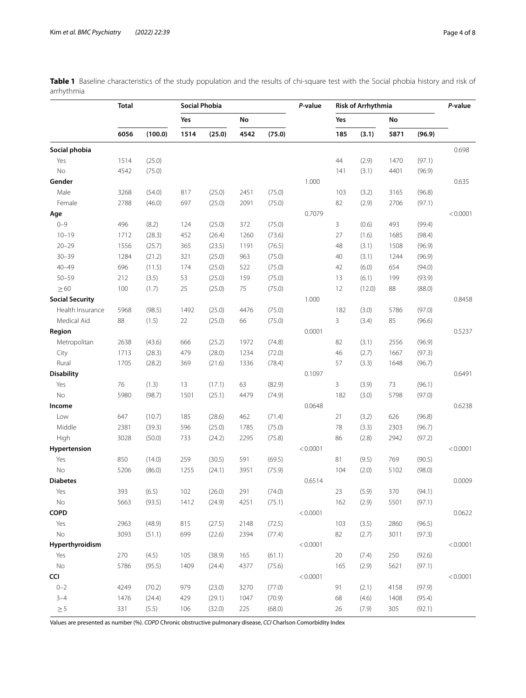|                        | <b>Total</b> |         | <b>Social Phobia</b> |        |      |        | P-value  | <b>Risk of Arrhythmia</b> |        |      |        | P-value  |
|------------------------|--------------|---------|----------------------|--------|------|--------|----------|---------------------------|--------|------|--------|----------|
|                        |              |         | Yes                  |        | No   |        |          | Yes                       |        | No   |        |          |
|                        | 6056         | (100.0) | 1514                 | (25.0) | 4542 | (75.0) |          | 185                       | (3.1)  | 5871 | (96.9) |          |
| Social phobia          |              |         |                      |        |      |        |          |                           |        |      |        | 0.698    |
| Yes                    | 1514         | (25.0)  |                      |        |      |        |          | 44                        | (2.9)  | 1470 | (97.1) |          |
| No                     | 4542         | (75.0)  |                      |        |      |        |          | 141                       | (3.1)  | 4401 | (96.9) |          |
| Gender                 |              |         |                      |        |      |        | 1.000    |                           |        |      |        | 0.635    |
| Male                   | 3268         | (54.0)  | 817                  | (25.0) | 2451 | (75.0) |          | 103                       | (3.2)  | 3165 | (96.8) |          |
| Female                 | 2788         | (46.0)  | 697                  | (25.0) | 2091 | (75.0) |          | 82                        | (2.9)  | 2706 | (97.1) |          |
| Age                    |              |         |                      |        |      |        | 0.7079   |                           |        |      |        | < 0.0001 |
| $0 - 9$                | 496          | (8.2)   | 124                  | (25.0) | 372  | (75.0) |          | 3                         | (0.6)  | 493  | (99.4) |          |
| $10 - 19$              | 1712         | (28.3)  | 452                  | (26.4) | 1260 | (73.6) |          | 27                        | (1.6)  | 1685 | (98.4) |          |
| $20 - 29$              | 1556         | (25.7)  | 365                  | (23.5) | 1191 | (76.5) |          | 48                        | (3.1)  | 1508 | (96.9) |          |
| $30 - 39$              | 1284         | (21.2)  | 321                  | (25.0) | 963  | (75.0) |          | 40                        | (3.1)  | 1244 | (96.9) |          |
| $40 - 49$              | 696          | (11.5)  | 174                  | (25.0) | 522  | (75.0) |          | 42                        | (6.0)  | 654  | (94.0) |          |
| $50 - 59$              | 212          | (3.5)   | 53                   | (25.0) | 159  | (75.0) |          | 13                        | (6.1)  | 199  | (93.9) |          |
| $\geq 60$              | 100          | (1.7)   | 25                   | (25.0) | 75   | (75.0) |          | 12                        | (12.0) | 88   | (88.0) |          |
| <b>Social Security</b> |              |         |                      |        |      |        | 1.000    |                           |        |      |        | 0.8458   |
| Health Insurance       | 5968         | (98.5)  | 1492                 | (25.0) | 4476 | (75.0) |          | 182                       | (3.0)  | 5786 | (97.0) |          |
| Medical Aid            | 88           | (1.5)   | 22                   | (25.0) | 66   | (75.0) |          | 3                         | (3.4)  | 85   | (96.6) |          |
| Region                 |              |         |                      |        |      |        | 0.0001   |                           |        |      |        | 0.5237   |
| Metropolitan           | 2638         | (43.6)  | 666                  | (25.2) | 1972 | (74.8) |          | 82                        | (3.1)  | 2556 | (96.9) |          |
| City                   | 1713         | (28.3)  | 479                  | (28.0) | 1234 | (72.0) |          | 46                        | (2.7)  | 1667 | (97.3) |          |
| Rural                  | 1705         | (28.2)  | 369                  | (21.6) | 1336 | (78.4) |          | 57                        | (3.3)  | 1648 | (96.7) |          |
| <b>Disability</b>      |              |         |                      |        |      |        | 0.1097   |                           |        |      |        | 0.6491   |
| Yes                    | 76           | (1.3)   | 13                   | (17.1) | 63   | (82.9) |          | 3                         | (3.9)  | 73   | (96.1) |          |
| <b>No</b>              | 5980         | (98.7)  | 1501                 | (25.1) | 4479 | (74.9) |          | 182                       | (3.0)  | 5798 | (97.0) |          |
| Income                 |              |         |                      |        |      |        | 0.0648   |                           |        |      |        | 0.6238   |
| Low                    | 647          | (10.7)  | 185                  | (28.6) | 462  | (71.4) |          | 21                        | (3.2)  | 626  | (96.8) |          |
| Middle                 | 2381         | (39.3)  | 596                  | (25.0) | 1785 | (75.0) |          | 78                        | (3.3)  | 2303 | (96.7) |          |
| High                   | 3028         | (50.0)  | 733                  | (24.2) | 2295 | (75.8) |          | 86                        | (2.8)  | 2942 | (97.2) |          |
| Hypertension           |              |         |                      |        |      |        | < 0.0001 |                           |        |      |        | < 0.0001 |
| Yes                    | 850          | (14.0)  | 259                  | (30.5) | 591  | (69.5) |          | 81                        | (9.5)  | 769  | (90.5) |          |
| <b>No</b>              | 5206         | (86.0)  | 1255                 | (24.1) | 3951 | (75.9) |          | 104                       | (2.0)  | 5102 | (98.0) |          |
| <b>Diabetes</b>        |              |         |                      |        |      |        | 0.6514   |                           |        |      |        | 0.0009   |
| Yes                    | 393          | (6.5)   | 102                  | (26.0) | 291  | (74.0) |          | 23                        | (5.9)  | 370  | (94.1) |          |
| <b>No</b>              | 5663         | (93.5)  | 1412                 | (24.9) | 4251 | (75.1) |          | 162                       | (2.9)  | 5501 | (97.1) |          |
| COPD                   |              |         |                      |        |      |        | < 0.0001 |                           |        |      |        | 0.0622   |
| Yes                    | 2963         | (48.9)  | 815                  | (27.5) | 2148 | (72.5) |          | 103                       | (3.5)  | 2860 | (96.5) |          |
| <b>No</b>              | 3093         | (51.1)  | 699                  | (22.6) | 2394 | (77.4) |          | 82                        | (2.7)  | 3011 | (97.3) |          |
| Hyperthyroidism        |              |         |                      |        |      |        | < 0.0001 |                           |        |      |        | < 0.0001 |

<span id="page-3-0"></span>**Table 1** Baseline characteristics of the study population and the results of chi-square test with the Social phobia history and risk of arrhythmia

Values are presented as number (%). *COPD* Chronic obstructive pulmonary disease, *CCI* Charlson Comorbidity Index

Yes 270 (4.5) 105 (38.9) 165 (61.1) 20 (7.4) 250 (92.6) No 5786 (95.5) 1409 (24.4) 4377 (75.6) 165 (2.9) 5621 (97.1)

0–2 4249 (70.2) 979 (23.0) 3270 (77.0) 91 (2.1) 4158 (97.9) 3–4 1476 (24.4) 429 (29.1) 1047 (70.9) 68 (4.6) 1408 (95.4)  $≥5$  331 (5.5) 106 (32.0) 225 (68.0) 26 (7.9) 305 (92.1)

**CCI**  $< 0.0001$   $< 0.0001$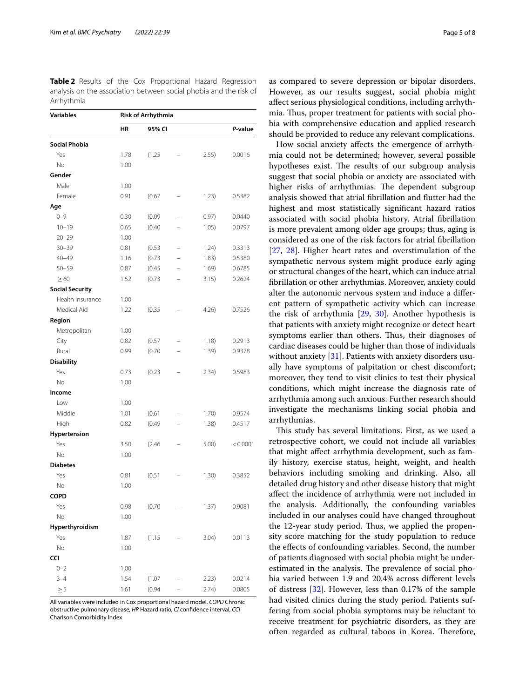<span id="page-4-0"></span>**Table 2** Results of the Cox Proportional Hazard Regression analysis on the association between social phobia and the risk of Arrhythmia

| <b>Variables</b>       | <b>Risk of Arrhythmia</b> |        |                          |       |          |  |  |  |  |  |
|------------------------|---------------------------|--------|--------------------------|-------|----------|--|--|--|--|--|
|                        | ΗR                        | 95% CI | P-value                  |       |          |  |  |  |  |  |
| <b>Social Phobia</b>   |                           |        |                          |       |          |  |  |  |  |  |
| Yes                    | 1.78                      | (1.25) |                          | 2.55) | 0.0016   |  |  |  |  |  |
| No                     | 1.00                      |        |                          |       |          |  |  |  |  |  |
| Gender                 |                           |        |                          |       |          |  |  |  |  |  |
| Male                   | 1.00                      |        |                          |       |          |  |  |  |  |  |
| Female                 | 0.91                      | (0.67) |                          | 1.23) | 0.5382   |  |  |  |  |  |
| Age                    |                           |        |                          |       |          |  |  |  |  |  |
| $0 - 9$                | 0.30                      | (0.09) |                          | 0.97) | 0.0440   |  |  |  |  |  |
| $10 - 19$              | 0.65                      | (0.40) |                          | 1.05) | 0.0797   |  |  |  |  |  |
| $20 - 29$              | 1.00                      |        |                          |       |          |  |  |  |  |  |
| $30 - 39$              | 0.81                      | (0.53) | $\overline{\phantom{0}}$ | 1.24) | 0.3313   |  |  |  |  |  |
| $40 - 49$              | 1.16                      | (0.73) |                          | 1.83) | 0.5380   |  |  |  |  |  |
| $50 - 59$              | 0.87                      | (0.45) |                          | 1.69) | 0.6785   |  |  |  |  |  |
| $\geq 60$              | 1.52                      | (0.73) |                          | 3.15) | 0.2624   |  |  |  |  |  |
| <b>Social Security</b> |                           |        |                          |       |          |  |  |  |  |  |
| Health Insurance       | 1.00                      |        |                          |       |          |  |  |  |  |  |
| Medical Aid            | 1.22                      | (0.35) |                          | 4.26  | 0.7526   |  |  |  |  |  |
| Region                 |                           |        |                          |       |          |  |  |  |  |  |
| Metropolitan           | 1.00                      |        |                          |       |          |  |  |  |  |  |
| City                   | 0.82                      | (0.57) |                          | 1.18) | 0.2913   |  |  |  |  |  |
| Rural                  | 0.99                      | (0.70) |                          | 1.39) | 0.9378   |  |  |  |  |  |
| <b>Disability</b>      |                           |        |                          |       |          |  |  |  |  |  |
| Yes                    | 0.73                      | (0.23) |                          | 2.34) | 0.5983   |  |  |  |  |  |
| No                     | 1.00                      |        |                          |       |          |  |  |  |  |  |
| Income                 |                           |        |                          |       |          |  |  |  |  |  |
| Low                    | 1.00                      |        |                          |       |          |  |  |  |  |  |
| Middle                 | 1.01                      | (0.61) |                          | 1.70) | 0.9574   |  |  |  |  |  |
| High                   | 0.82                      | (0.49) |                          | 1.38) | 0.4517   |  |  |  |  |  |
| <b>Hypertension</b>    |                           |        |                          |       |          |  |  |  |  |  |
| Yes                    | 3.50                      | (2.46) |                          | 5.00) | < 0.0001 |  |  |  |  |  |
| N <sub>o</sub>         | 1.00                      |        |                          |       |          |  |  |  |  |  |
| <b>Diabetes</b>        |                           |        |                          |       |          |  |  |  |  |  |
| Yes                    | 0.81                      | (0.51) |                          | 1.30) | 0.3852   |  |  |  |  |  |
| No                     | 1.00                      |        |                          |       |          |  |  |  |  |  |
| <b>COPD</b>            |                           |        |                          |       |          |  |  |  |  |  |
| Yes                    | 0.98                      | (0.70) |                          | 1.37) | 0.9081   |  |  |  |  |  |
| No                     | 1.00                      |        |                          |       |          |  |  |  |  |  |
| Hyperthyroidism        |                           |        |                          |       |          |  |  |  |  |  |
| Yes                    | 1.87                      | (1.15) |                          | 3.04) | 0.0113   |  |  |  |  |  |
| No                     | 1.00                      |        |                          |       |          |  |  |  |  |  |
| <b>CCI</b>             |                           |        |                          |       |          |  |  |  |  |  |
| $0 - 2$                | 1.00                      |        |                          |       |          |  |  |  |  |  |
| $3 - 4$                | 1.54                      | (1.07) |                          | 2.23) | 0.0214   |  |  |  |  |  |
| $\geq$ 5               | 1.61                      | (0.94) |                          | 2.74) | 0.0805   |  |  |  |  |  |

All variables were included in Cox proportional hazard model. *COPD* Chronic obstructive pulmonary disease, *HR* Hazard ratio, *CI* confdence interval, *CCI* Charlson Comorbidity Index

as compared to severe depression or bipolar disorders. However, as our results suggest, social phobia might afect serious physiological conditions, including arrhythmia. Thus, proper treatment for patients with social phobia with comprehensive education and applied research should be provided to reduce any relevant complications.

How social anxiety afects the emergence of arrhythmia could not be determined; however, several possible hypotheses exist. The results of our subgroup analysis suggest that social phobia or anxiety are associated with higher risks of arrhythmias. The dependent subgroup analysis showed that atrial fbrillation and futter had the highest and most statistically significant hazard ratios associated with social phobia history. Atrial fbrillation is more prevalent among older age groups; thus, aging is considered as one of the risk factors for atrial fbrillation [[27,](#page-7-6) [28\]](#page-7-7). Higher heart rates and overstimulation of the sympathetic nervous system might produce early aging or structural changes of the heart, which can induce atrial fbrillation or other arrhythmias. Moreover, anxiety could alter the autonomic nervous system and induce a diferent pattern of sympathetic activity which can increase the risk of arrhythmia [\[29](#page-7-8), [30\]](#page-7-9). Another hypothesis is that patients with anxiety might recognize or detect heart symptoms earlier than others. Thus, their diagnoses of cardiac diseases could be higher than those of individuals without anxiety [\[31](#page-7-10)]. Patients with anxiety disorders usually have symptoms of palpitation or chest discomfort; moreover, they tend to visit clinics to test their physical conditions, which might increase the diagnosis rate of arrhythmia among such anxious. Further research should investigate the mechanisms linking social phobia and arrhythmias.

This study has several limitations. First, as we used a retrospective cohort, we could not include all variables that might afect arrhythmia development, such as family history, exercise status, height, weight, and health behaviors including smoking and drinking. Also, all detailed drug history and other disease history that might afect the incidence of arrhythmia were not included in the analysis. Additionally, the confounding variables included in our analyses could have changed throughout the 12-year study period. Thus, we applied the propensity score matching for the study population to reduce the efects of confounding variables. Second, the number of patients diagnosed with social phobia might be underestimated in the analysis. The prevalence of social phobia varied between 1.9 and 20.4% across diferent levels of distress [[32\]](#page-7-11). However, less than 0.17% of the sample had visited clinics during the study period. Patients suffering from social phobia symptoms may be reluctant to receive treatment for psychiatric disorders, as they are often regarded as cultural taboos in Korea. Therefore,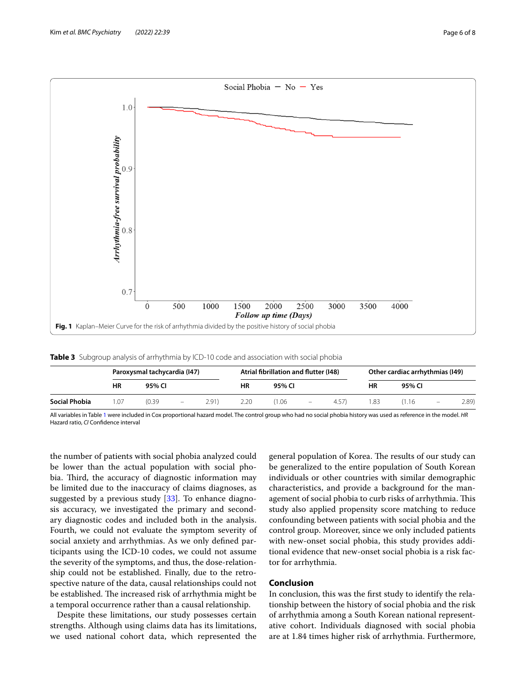

<span id="page-5-1"></span><span id="page-5-0"></span>**Table 3** Subgroup analysis of arrhythmia by ICD-10 code and association with social phobia

|                      | Paroxysmal tachycardia (147) |        |                          |       |      | Atrial fibrillation and flutter (148) |                          |       | Other cardiac arrhythmias (149) |        |                   |      |
|----------------------|------------------------------|--------|--------------------------|-------|------|---------------------------------------|--------------------------|-------|---------------------------------|--------|-------------------|------|
|                      | ΗR                           | 95% CI |                          |       | ΗR   | 95% CI                                |                          |       | ΗR                              | 95% CI |                   |      |
| <b>Social Phobia</b> | 1.07                         | (0.39) | $\overline{\phantom{m}}$ | 2.91) | 2.20 | 1.06                                  | $\overline{\phantom{a}}$ | 4.57) | .83                             | (1.16) | $\qquad \qquad -$ | 2.89 |

All variables in Table [1](#page-3-0) were included in Cox proportional hazard model. The control group who had no social phobia history was used as reference in the model. *HR* Hazard ratio, *CI* Confdence interval

the number of patients with social phobia analyzed could be lower than the actual population with social phobia. Third, the accuracy of diagnostic information may be limited due to the inaccuracy of claims diagnoses, as suggested by a previous study [[33](#page-7-12)]. To enhance diagnosis accuracy, we investigated the primary and secondary diagnostic codes and included both in the analysis. Fourth, we could not evaluate the symptom severity of social anxiety and arrhythmias. As we only defned participants using the ICD-10 codes, we could not assume the severity of the symptoms, and thus, the dose-relationship could not be established. Finally, due to the retrospective nature of the data, causal relationships could not be established. The increased risk of arrhythmia might be a temporal occurrence rather than a causal relationship.

Despite these limitations, our study possesses certain strengths. Although using claims data has its limitations, we used national cohort data, which represented the

general population of Korea. The results of our study can be generalized to the entire population of South Korean individuals or other countries with similar demographic characteristics, and provide a background for the management of social phobia to curb risks of arrhythmia. This study also applied propensity score matching to reduce confounding between patients with social phobia and the control group. Moreover, since we only included patients with new-onset social phobia, this study provides additional evidence that new-onset social phobia is a risk factor for arrhythmia.

## **Conclusion**

In conclusion, this was the frst study to identify the relationship between the history of social phobia and the risk of arrhythmia among a South Korean national representative cohort. Individuals diagnosed with social phobia are at 1.84 times higher risk of arrhythmia. Furthermore,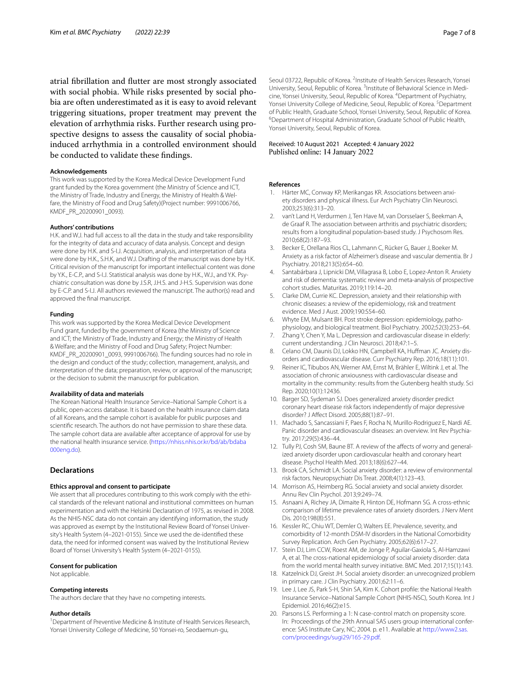atrial fbrillation and futter are most strongly associated with social phobia. While risks presented by social phobia are often underestimated as it is easy to avoid relevant triggering situations, proper treatment may prevent the elevation of arrhythmia risks. Further research using prospective designs to assess the causality of social phobiainduced arrhythmia in a controlled environment should be conducted to validate these fndings.

#### **Acknowledgements**

This work was supported by the Korea Medical Device Development Fund grant funded by the Korea government (the Ministry of Science and ICT, the Ministry of Trade, Industry and Energy, the Ministry of Health & Welfare, the Ministry of Food and Drug Safety)(Project number: 9991006766, KMDF\_PR\_20200901\_0093).

#### **Authors' contributions**

H.K. and W.J. had full access to all the data in the study and take responsibility for the integrity of data and accuracy of data analysis. Concept and design were done by H.K. and S-I.J. Acquisition, analysis, and interpretation of data were done by H.K., S.H.K, and W.J. Drafting of the manuscript was done by H.K. Critical revision of the manuscript for important intellectual content was done by Y.K., E-C.P., and S-I.J. Statistical analysis was done by H.K., W.J., and Y.K. Psychiatric consultation was done by J.S.R, J.H.S. and J-H.S. Supervision was done by E-C.P. and S-I.J. All authors reviewed the manuscript. The author(s) read and approved the fnal manuscript.

#### **Funding**

This work was supported by the Korea Medical Device Development Fund grant, funded by the government of Korea (the Ministry of Science and ICT; the Ministry of Trade, Industry and Energy; the Ministry of Health & Welfare; and the Ministry of Food and Drug Safety; Project Number: KMDF\_PR\_20200901\_0093, 9991006766). The funding sources had no role in the design and conduct of the study; collection, management, analysis, and interpretation of the data; preparation, review, or approval of the manuscript; or the decision to submit the manuscript for publication.

#### **Availability of data and materials**

The Korean National Health Insurance Service–National Sample Cohort is a public, open-access database. It is based on the health insurance claim data of all Koreans, and the sample cohort is available for public purposes and scientifc research. The authors do not have permission to share these data. The sample cohort data are available after acceptance of approval for use by the national health insurance service. [\(https://nhiss.nhis.or.kr/bd/ab/bdaba](https://nhiss.nhis.or.kr/bd/ab/bdaba000eng.do) [000eng.do\)](https://nhiss.nhis.or.kr/bd/ab/bdaba000eng.do).

### **Declarations**

#### **Ethics approval and consent to participate**

We assert that all procedures contributing to this work comply with the ethical standards of the relevant national and institutional committees on human experimentation and with the Helsinki Declaration of 1975, as revised in 2008. As the NHIS-NSC data do not contain any identifying information, the study was approved as exempt by the Institutional Review Board of Yonsei University's Health System (4–2021-0155). Since we used the de-identifed these data, the need for informed consent was waived by the Institutional Review Board of Yonsei University's Health System (4–2021-0155).

#### **Consent for publication**

Not applicable.

#### **Competing interests**

The authors declare that they have no competing interests.

#### **Author details**

<sup>1</sup> Department of Preventive Medicine & Institute of Health Services Research, Yonsei University College of Medicine, 50 Yonsei-ro, Seodaemun-gu,

Seoul 03722, Republic of Korea. <sup>2</sup>Institute of Health Services Research, Yonsei University, Seoul, Republic of Korea.<sup>3</sup> Institute of Behavioral Science in Medicine, Yonsei University, Seoul, Republic of Korea. 4 Department of Psychiatry, Yonsei University College of Medicine, Seoul, Republic of Korea.<sup>5</sup> Department of Public Health, Graduate School, Yonsei University, Seoul, Republic of Korea. 6 <sup>6</sup>Department of Hospital Administration, Graduate School of Public Health, Yonsei University, Seoul, Republic of Korea.

## Received: 10 August 2021 Accepted: 4 January 2022

#### **References**

- <span id="page-6-0"></span>1. Härter MC, Conway KP, Merikangas KR. Associations between anxiety disorders and physical illness. Eur Arch Psychiatry Clin Neurosci. 2003;253(6):313–20.
- 2. van't Land H, Verdurmen J, Ten Have M, van Dorsselaer S, Beekman A, de Graaf R. The association between arthritis and psychiatric disorders; results from a longitudinal population-based study. J Psychosom Res. 2010;68(2):187–93.
- 3. Becker E, Orellana Rios CL, Lahmann C, Rücker G, Bauer J, Boeker M. Anxiety as a risk factor of Alzheimer's disease and vascular dementia. Br J Psychiatry. 2018;213(5):654–60.
- <span id="page-6-1"></span>Santabárbara J, Lipnicki DM, Villagrasa B, Lobo E, Lopez-Anton R. Anxiety and risk of dementia: systematic review and meta-analysis of prospective cohort studies. Maturitas. 2019;119:14–20.
- <span id="page-6-2"></span>5. Clarke DM, Currie KC. Depression, anxiety and their relationship with chronic diseases: a review of the epidemiology, risk and treatment evidence. Med J Aust. 2009;190:S54–60.
- 6. Whyte EM, Mulsant BH. Post stroke depression: epidemiology, pathophysiology, and biological treatment. Biol Psychiatry. 2002;52(3):253–64.
- <span id="page-6-3"></span>7. Zhang Y, Chen Y, Ma L. Depression and cardiovascular disease in elderly: current understanding. J Clin Neurosci. 2018;47:1–5.
- <span id="page-6-4"></span>8. Celano CM, Daunis DJ, Lokko HN, Campbell KA, Huffman JC. Anxiety disorders and cardiovascular disease. Curr Psychiatry Rep. 2016;18(11):101.
- <span id="page-6-5"></span>9. Reiner IC, Tibubos AN, Werner AM, Ernst M, Brähler E, Wiltink J, et al. The association of chronic anxiousness with cardiovascular disease and mortality in the community: results from the Gutenberg health study. Sci Rep. 2020;10(1):12436.
- <span id="page-6-6"></span>10. Barger SD, Sydeman SJ. Does generalized anxiety disorder predict coronary heart disease risk factors independently of major depressive disorder? J Afect Disord. 2005;88(1):87–91.
- 11. Machado S, Sancassiani F, Paes F, Rocha N, Murillo-Rodriguez E, Nardi AE. Panic disorder and cardiovascular diseases: an overview. Int Rev Psychiatry. 2017;29(5):436–44.
- <span id="page-6-7"></span>12. Tully PJ, Cosh SM, Baune BT. A review of the affects of worry and generalized anxiety disorder upon cardiovascular health and coronary heart disease. Psychol Health Med. 2013;18(6):627–44.
- <span id="page-6-8"></span>13. Brook CA, Schmidt LA. Social anxiety disorder: a review of environmental risk factors. Neuropsychiatr Dis Treat. 2008;4(1):123–43.
- <span id="page-6-9"></span>14. Morrison AS, Heimberg RG. Social anxiety and social anxiety disorder. Annu Rev Clin Psychol. 2013;9:249–74.
- <span id="page-6-10"></span>15. Asnaani A, Richey JA, Dimaite R, Hinton DE, Hofmann SG. A cross-ethnic comparison of lifetime prevalence rates of anxiety disorders. J Nerv Ment Dis. 2010;198(8):551.
- 16. Kessler RC, Chiu WT, Demler O, Walters EE. Prevalence, severity, and comorbidity of 12-month DSM-IV disorders in the National Comorbidity Survey Replication. Arch Gen Psychiatry. 2005;62(6):617–27.
- <span id="page-6-11"></span>17. Stein DJ, Lim CCW, Roest AM, de Jonge P, Aguilar-Gaxiola S, Al-Hamzawi A, et al. The cross-national epidemiology of social anxiety disorder: data from the world mental health survey initiative. BMC Med. 2017;15(1):143.
- <span id="page-6-12"></span>18. Katzelnick DJ, Greist JH. Social anxiety disorder: an unrecognized problem in primary care. J Clin Psychiatry. 2001;62:11–6.
- <span id="page-6-13"></span>19. Lee J, Lee JS, Park S-H, Shin SA, Kim K. Cohort profle: the National Health Insurance Service–National Sample Cohort (NHIS-NSC), South Korea. Int J Epidemiol. 2016;46(2):e15.
- <span id="page-6-14"></span>20. Parsons LS. Performing a 1: N case-control match on propensity score. In: Proceedings of the 29th Annual SAS users group international conference: SAS Institute Cary, NC; 2004. p. e11. Available at [http://www2.sas.](http://www2.sas.com/proceedings/sugi29/165-29.pdf) [com/proceedings/sugi29/165-29.pdf](http://www2.sas.com/proceedings/sugi29/165-29.pdf).